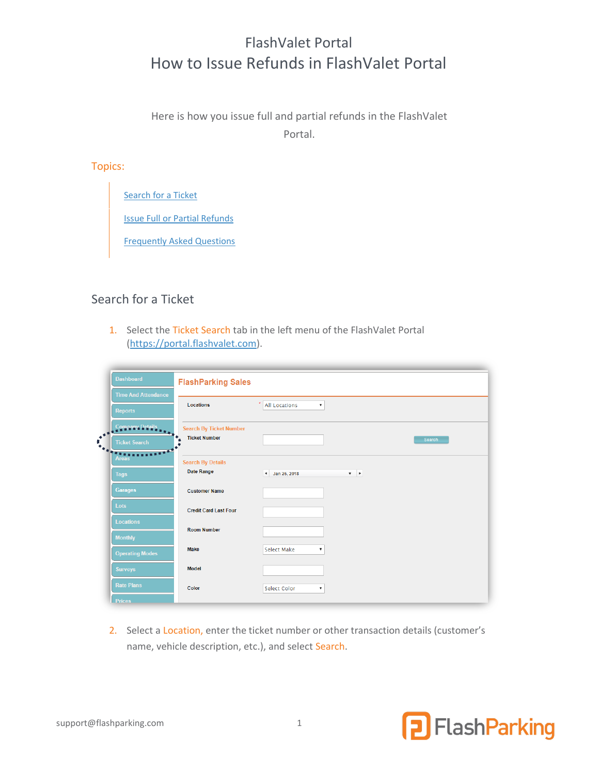# FlashValet Portal How to Issue Refunds in FlashValet Portal

Here is how you issue full and partial refunds in the FlashValet Portal.

Topics:

[Search for a Ticket](#page-0-0)

[Issue Full or Partial Refunds](#page-1-0)

[Frequently Asked Questions](#page-2-0)

## <span id="page-0-0"></span>Search for a Ticket

1. Select the Ticket Search tab in the left menu of the FlashValet Portal [\(https://portal.flashvalet.com\)](https://portal.flashvalet.com/).

|                  | <b>Dashboard</b>                            | <b>FlashParking Sales</b>      |                                                   |  |  |  |  |
|------------------|---------------------------------------------|--------------------------------|---------------------------------------------------|--|--|--|--|
|                  | <b>Time And Attendance</b>                  | $\star$                        |                                                   |  |  |  |  |
|                  | <b>Reports</b>                              | <b>Locations</b>               | <b>All Locations</b><br>$\boldsymbol{\mathrm{v}}$ |  |  |  |  |
|                  | <b>Company Details</b>                      | <b>Search By Ticket Number</b> |                                                   |  |  |  |  |
| $\bullet^{\Psi}$ | <b>SAN ANTISTIC</b><br><b>Ticket Search</b> | <b>Ticket Number</b>           | Search                                            |  |  |  |  |
|                  |                                             | <b>Search By Details</b>       |                                                   |  |  |  |  |
|                  | <b>Tags</b>                                 | Date Range                     | 4 Jan 25, 2018<br>$\mathbf{v}$ . $\mathbf{b}$     |  |  |  |  |
|                  | <b>Garages</b>                              | <b>Customer Name</b>           |                                                   |  |  |  |  |
|                  | Lots                                        | <b>Credit Card Last Four</b>   |                                                   |  |  |  |  |
|                  | <b>Locations</b>                            | <b>Room Number</b>             |                                                   |  |  |  |  |
|                  | <b>Monthly</b>                              | <b>Make</b>                    | <b>Select Make</b><br>$\pmb{\mathrm{v}}$          |  |  |  |  |
|                  | <b>Operating Modes</b>                      |                                |                                                   |  |  |  |  |
|                  | <b>Surveys</b>                              | <b>Model</b>                   |                                                   |  |  |  |  |
|                  | <b>Rate Plans</b>                           | Color                          | Select Color<br>$\overline{\mathbf{v}}$           |  |  |  |  |
|                  | <b>Prices</b>                               |                                |                                                   |  |  |  |  |

2. Select a Location, enter the ticket number or other transaction details (customer's name, vehicle description, etc.), and select Search.

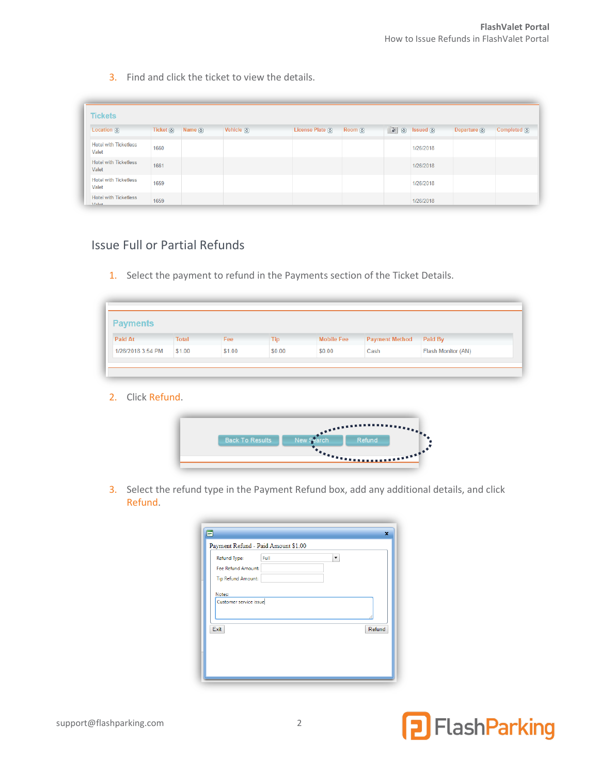3. Find and click the ticket to view the details.

| <b>Tickets</b>                        |                       |                     |                              |                              |              |                                         |                          |                          |
|---------------------------------------|-----------------------|---------------------|------------------------------|------------------------------|--------------|-----------------------------------------|--------------------------|--------------------------|
| Location $\circledcirc$               | Ticket $\circledcirc$ | Name $\circledcirc$ | Vehicle $\overline{\otimes}$ | License Plate $\circledcirc$ | Room $\odot$ | $\left \odot\right $ (c) Issued $\odot$ | Departure $\circledcirc$ | Completed $\circledcirc$ |
| <b>Hotel with Ticketless</b><br>Valet | 1660                  |                     |                              |                              |              | 1/26/2018                               |                          |                          |
| <b>Hotel with Ticketless</b><br>Valet | 1661                  |                     |                              |                              |              | 1/26/2018                               |                          |                          |
| <b>Hotel with Ticketless</b><br>Valet | 1659                  |                     |                              |                              |              | 1/26/2018                               |                          |                          |
| <b>Hotel with Ticketless</b><br>Valat | 1659                  |                     |                              |                              |              | 1/26/2018                               |                          |                          |

## <span id="page-1-0"></span>Issue Full or Partial Refunds

1. Select the payment to refund in the Payments section of the Ticket Details.

| <b>Payments</b>   |              |        |            |                   |                       |                    |
|-------------------|--------------|--------|------------|-------------------|-----------------------|--------------------|
| <b>Paid At</b>    | <b>Total</b> | Fee    | <b>Tip</b> | <b>Mobile Fee</b> | <b>Payment Method</b> | Paid By            |
| 1/26/2018 3:54 PM | \$1.00       | \$1.00 | \$0.00     | \$0.00            | Cash                  | Flash Monitor (AN) |

2. Click Refund.

| <b>Back To Results</b> | Ne | Refund.                                         |  |
|------------------------|----|-------------------------------------------------|--|
|                        |    |                                                 |  |
|                        |    | $\frac{1}{2}$ , and a sequence of $\frac{1}{2}$ |  |

3. Select the refund type in the Payment Refund box, add any additional details, and click Refund.

| Refund Type:       | Payment Refund - Paid Amount \$1.00<br>Full | ٠ |        |
|--------------------|---------------------------------------------|---|--------|
| Fee Refund Amount: |                                             |   |        |
| Tip Refund Amount: |                                             |   |        |
|                    |                                             |   | Refund |
| Exit               |                                             |   |        |
|                    |                                             |   |        |
|                    |                                             |   |        |